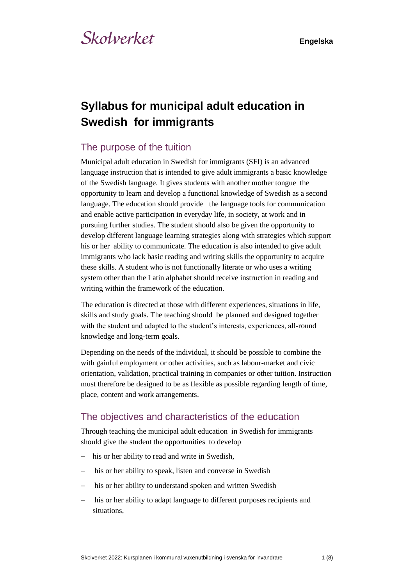# **Syllabus for municipal adult education in Swedish for immigrants**

## The purpose of the tuition

Municipal adult education in Swedish for immigrants (SFI) is an advanced language instruction that is intended to give adult immigrants a basic knowledge of the Swedish language. It gives students with another mother tongue the opportunity to learn and develop a functional knowledge of Swedish as a second language. The education should provide the language tools for communication and enable active participation in everyday life, in society, at work and in pursuing further studies. The student should also be given the opportunity to develop different language learning strategies along with strategies which support his or her ability to communicate. The education is also intended to give adult immigrants who lack basic reading and writing skills the opportunity to acquire these skills. A student who is not functionally literate or who uses a writing system other than the Latin alphabet should receive instruction in reading and writing within the framework of the education.

The education is directed at those with different experiences, situations in life, skills and study goals. The teaching should be planned and designed together with the student and adapted to the student's interests, experiences, all-round knowledge and long-term goals.

Depending on the needs of the individual, it should be possible to combine the with gainful employment or other activities, such as labour-market and civic orientation, validation, practical training in companies or other tuition. Instruction must therefore be designed to be as flexible as possible regarding length of time, place, content and work arrangements.

## The objectives and characteristics of the education

Through teaching the municipal adult education in Swedish for immigrants should give the student the opportunities to develop

- his or her ability to read and write in Swedish,
- his or her ability to speak, listen and converse in Swedish
- his or her ability to understand spoken and written Swedish
- his or her ability to adapt language to different purposes recipients and situations,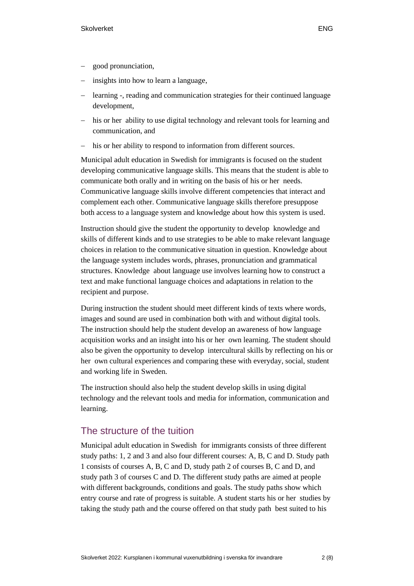- − good pronunciation,
- insights into how to learn a language.
- learning -, reading and communication strategies for their continued language development,
- his or her ability to use digital technology and relevant tools for learning and communication, and
- his or her ability to respond to information from different sources.

Municipal adult education in Swedish for immigrants is focused on the student developing communicative language skills. This means that the student is able to communicate both orally and in writing on the basis of his or her needs. Communicative language skills involve different competencies that interact and complement each other. Communicative language skills therefore presuppose both access to a language system and knowledge about how this system is used.

Instruction should give the student the opportunity to develop knowledge and skills of different kinds and to use strategies to be able to make relevant language choices in relation to the communicative situation in question. Knowledge about the language system includes words, phrases, pronunciation and grammatical structures. Knowledge about language use involves learning how to construct a text and make functional language choices and adaptations in relation to the recipient and purpose.

During instruction the student should meet different kinds of texts where words, images and sound are used in combination both with and without digital tools. The instruction should help the student develop an awareness of how language acquisition works and an insight into his or her own learning. The student should also be given the opportunity to develop intercultural skills by reflecting on his or her own cultural experiences and comparing these with everyday, social, student and working life in Sweden.

The instruction should also help the student develop skills in using digital technology and the relevant tools and media for information, communication and learning.

## The structure of the tuition

Municipal adult education in Swedish for immigrants consists of three different study paths: 1, 2 and 3 and also four different courses: A, B, C and D. Study path 1 consists of courses A, B, C and D, study path 2 of courses B, C and D, and study path 3 of courses C and D. The different study paths are aimed at people with different backgrounds, conditions and goals. The study paths show which entry course and rate of progress is suitable. A student starts his or her studies by taking the study path and the course offered on that study path best suited to his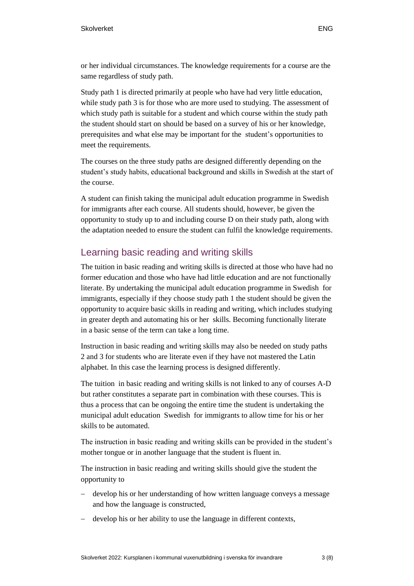or her individual circumstances. The knowledge requirements for a course are the same regardless of study path.

Study path 1 is directed primarily at people who have had very little education, while study path 3 is for those who are more used to studying. The assessment of which study path is suitable for a student and which course within the study path the student should start on should be based on a survey of his or her knowledge, prerequisites and what else may be important for the student's opportunities to meet the requirements.

The courses on the three study paths are designed differently depending on the student's study habits, educational background and skills in Swedish at the start of the course.

A student can finish taking the municipal adult education programme in Swedish for immigrants after each course. All students should, however, be given the opportunity to study up to and including course D on their study path, along with the adaptation needed to ensure the student can fulfil the knowledge requirements.

## Learning basic reading and writing skills

The tuition in basic reading and writing skills is directed at those who have had no former education and those who have had little education and are not functionally literate. By undertaking the municipal adult education programme in Swedish for immigrants, especially if they choose study path 1 the student should be given the opportunity to acquire basic skills in reading and writing, which includes studying in greater depth and automating his or her skills. Becoming functionally literate in a basic sense of the term can take a long time.

Instruction in basic reading and writing skills may also be needed on study paths 2 and 3 for students who are literate even if they have not mastered the Latin alphabet. In this case the learning process is designed differently.

The tuition in basic reading and writing skills is not linked to any of courses A-D but rather constitutes a separate part in combination with these courses. This is thus a process that can be ongoing the entire time the student is undertaking the municipal adult education Swedish for immigrants to allow time for his or her skills to be automated.

The instruction in basic reading and writing skills can be provided in the student's mother tongue or in another language that the student is fluent in.

The instruction in basic reading and writing skills should give the student the opportunity to

- − develop his or her understanding of how written language conveys a message and how the language is constructed,
- develop his or her ability to use the language in different contexts,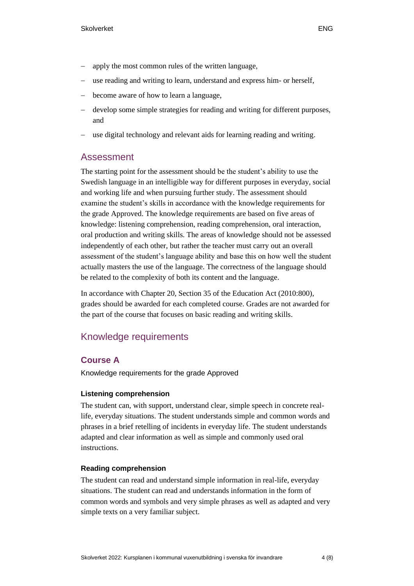- use reading and writing to learn, understand and express him- or herself.
- − become aware of how to learn a language,
- develop some simple strategies for reading and writing for different purposes, and
- use digital technology and relevant aids for learning reading and writing.

## Assessment

The starting point for the assessment should be the student's ability to use the Swedish language in an intelligible way for different purposes in everyday, social and working life and when pursuing further study. The assessment should examine the student's skills in accordance with the knowledge requirements for the grade Approved. The knowledge requirements are based on five areas of knowledge: listening comprehension, reading comprehension, oral interaction, oral production and writing skills. The areas of knowledge should not be assessed independently of each other, but rather the teacher must carry out an overall assessment of the student's language ability and base this on how well the student actually masters the use of the language. The correctness of the language should be related to the complexity of both its content and the language.

In accordance with Chapter 20, Section 35 of the Education Act (2010:800), grades should be awarded for each completed course. Grades are not awarded for the part of the course that focuses on basic reading and writing skills.

## Knowledge requirements

## **Course A**

Knowledge requirements for the grade Approved

## **Listening comprehension**

The student can, with support, understand clear, simple speech in concrete reallife, everyday situations. The student understands simple and common words and phrases in a brief retelling of incidents in everyday life. The student understands adapted and clear information as well as simple and commonly used oral instructions.

## **Reading comprehension**

The student can read and understand simple information in real-life, everyday situations. The student can read and understands information in the form of common words and symbols and very simple phrases as well as adapted and very simple texts on a very familiar subject.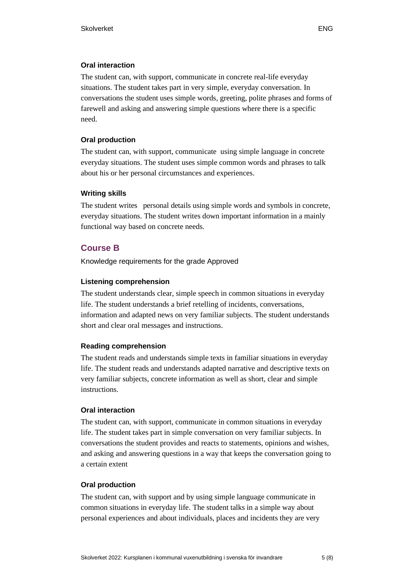#### **Oral interaction**

The student can, with support, communicate in concrete real-life everyday situations. The student takes part in very simple, everyday conversation. In conversations the student uses simple words, greeting, polite phrases and forms of farewell and asking and answering simple questions where there is a specific need.

#### **Oral production**

The student can, with support, communicate using simple language in concrete everyday situations. The student uses simple common words and phrases to talk about his or her personal circumstances and experiences.

#### **Writing skills**

The student writes personal details using simple words and symbols in concrete, everyday situations. The student writes down important information in a mainly functional way based on concrete needs.

## **Course B**

Knowledge requirements for the grade Approved

#### **Listening comprehension**

The student understands clear, simple speech in common situations in everyday life. The student understands a brief retelling of incidents, conversations, information and adapted news on very familiar subjects. The student understands short and clear oral messages and instructions.

#### **Reading comprehension**

The student reads and understands simple texts in familiar situations in everyday life. The student reads and understands adapted narrative and descriptive texts on very familiar subjects, concrete information as well as short, clear and simple instructions.

#### **Oral interaction**

The student can, with support, communicate in common situations in everyday life. The student takes part in simple conversation on very familiar subjects. In conversations the student provides and reacts to statements, opinions and wishes, and asking and answering questions in a way that keeps the conversation going to a certain extent

#### **Oral production**

The student can, with support and by using simple language communicate in common situations in everyday life. The student talks in a simple way about personal experiences and about individuals, places and incidents they are very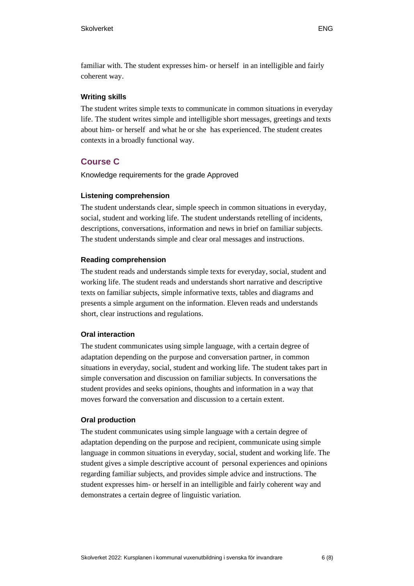## **Writing skills**

The student writes simple texts to communicate in common situations in everyday life. The student writes simple and intelligible short messages, greetings and texts about him- or herself and what he or she has experienced. The student creates contexts in a broadly functional way.

## **Course C**

Knowledge requirements for the grade Approved

## **Listening comprehension**

The student understands clear, simple speech in common situations in everyday, social, student and working life. The student understands retelling of incidents, descriptions, conversations, information and news in brief on familiar subjects. The student understands simple and clear oral messages and instructions.

## **Reading comprehension**

The student reads and understands simple texts for everyday, social, student and working life. The student reads and understands short narrative and descriptive texts on familiar subjects, simple informative texts, tables and diagrams and presents a simple argument on the information. Eleven reads and understands short, clear instructions and regulations.

## **Oral interaction**

The student communicates using simple language, with a certain degree of adaptation depending on the purpose and conversation partner, in common situations in everyday, social, student and working life. The student takes part in simple conversation and discussion on familiar subjects. In conversations the student provides and seeks opinions, thoughts and information in a way that moves forward the conversation and discussion to a certain extent.

## **Oral production**

The student communicates using simple language with a certain degree of adaptation depending on the purpose and recipient, communicate using simple language in common situations in everyday, social, student and working life. The student gives a simple descriptive account of personal experiences and opinions regarding familiar subjects, and provides simple advice and instructions. The student expresses him- or herself in an intelligible and fairly coherent way and demonstrates a certain degree of linguistic variation.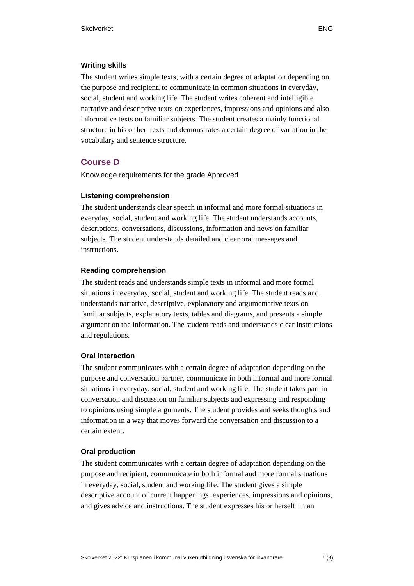The student writes simple texts, with a certain degree of adaptation depending on the purpose and recipient, to communicate in common situations in everyday, social, student and working life. The student writes coherent and intelligible narrative and descriptive texts on experiences, impressions and opinions and also informative texts on familiar subjects. The student creates a mainly functional structure in his or her texts and demonstrates a certain degree of variation in the vocabulary and sentence structure.

## **Course D**

Knowledge requirements for the grade Approved

## **Listening comprehension**

The student understands clear speech in informal and more formal situations in everyday, social, student and working life. The student understands accounts, descriptions, conversations, discussions, information and news on familiar subjects. The student understands detailed and clear oral messages and instructions.

## **Reading comprehension**

The student reads and understands simple texts in informal and more formal situations in everyday, social, student and working life. The student reads and understands narrative, descriptive, explanatory and argumentative texts on familiar subjects, explanatory texts, tables and diagrams, and presents a simple argument on the information. The student reads and understands clear instructions and regulations.

## **Oral interaction**

The student communicates with a certain degree of adaptation depending on the purpose and conversation partner, communicate in both informal and more formal situations in everyday, social, student and working life. The student takes part in conversation and discussion on familiar subjects and expressing and responding to opinions using simple arguments. The student provides and seeks thoughts and information in a way that moves forward the conversation and discussion to a certain extent.

## **Oral production**

The student communicates with a certain degree of adaptation depending on the purpose and recipient, communicate in both informal and more formal situations in everyday, social, student and working life. The student gives a simple descriptive account of current happenings, experiences, impressions and opinions, and gives advice and instructions. The student expresses his or herself in an